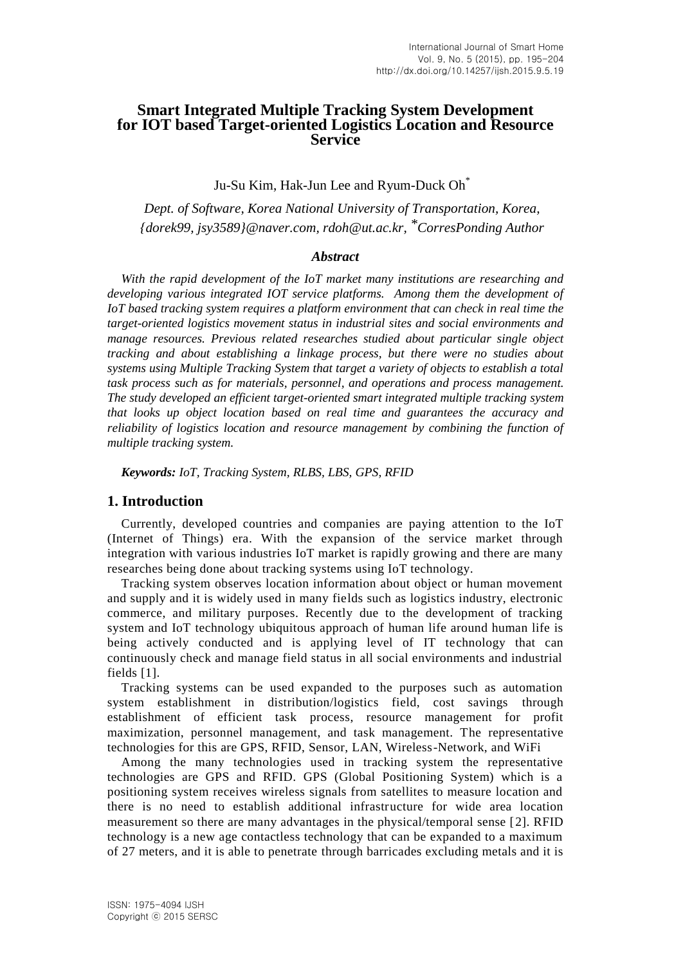# **Smart Integrated Multiple Tracking System Development for IOT based Target-oriented Logistics Location and Resource Service**

Ju-Su Kim, Hak-Jun Lee and Ryum-Duck Oh $^{\ast}$ 

*Dept. of Software, Korea National University of Transportation, Korea, {dorek99, jsy3589}@naver.com, rdoh@ut.ac.kr, \*CorresPonding Author*

## *Abstract*

*With the rapid development of the IoT market many institutions are researching and developing various integrated IOT service platforms. Among them the development of IoT based tracking system requires a platform environment that can check in real time the target-oriented logistics movement status in industrial sites and social environments and manage resources. Previous related researches studied about particular single object tracking and about establishing a linkage process, but there were no studies about systems using Multiple Tracking System that target a variety of objects to establish a total task process such as for materials, personnel, and operations and process management. The study developed an efficient target-oriented smart integrated multiple tracking system that looks up object location based on real time and guarantees the accuracy and reliability of logistics location and resource management by combining the function of multiple tracking system.*

*Keywords: IoT, Tracking System, RLBS, LBS, GPS, RFID*

### **1. Introduction**

Currently, developed countries and companies are paying attention to the IoT (Internet of Things) era. With the expansion of the service market through integration with various industries IoT market is rapidly growing and there are many researches being done about tracking systems using IoT technology.

Tracking system observes location information about object or human movement and supply and it is widely used in many fields such as logistics industry, electronic commerce, and military purposes. Recently due to the development of tracking system and IoT technology ubiquitous approach of human life around human life is being actively conducted and is applying level of IT technology that can continuously check and manage field status in all social environments and industrial fields [1].

Tracking systems can be used expanded to the purposes such as automation system establishment in distribution/logistics field, cost savings through establishment of efficient task process, resource management for profit maximization, personnel management, and task management. The representative technologies for this are GPS, RFID, Sensor, LAN, Wireless-Network, and WiFi

Among the many technologies used in tracking system the representative technologies are GPS and RFID. GPS (Global Positioning System) which is a positioning system receives wireless signals from satellites to measure location and there is no need to establish additional infrastructure for wide area location measurement so there are many advantages in the physical/temporal sense [2]. RFID technology is a new age contactless technology that can be expanded to a maximum of 27 meters, and it is able to penetrate through barricades excluding metals and it is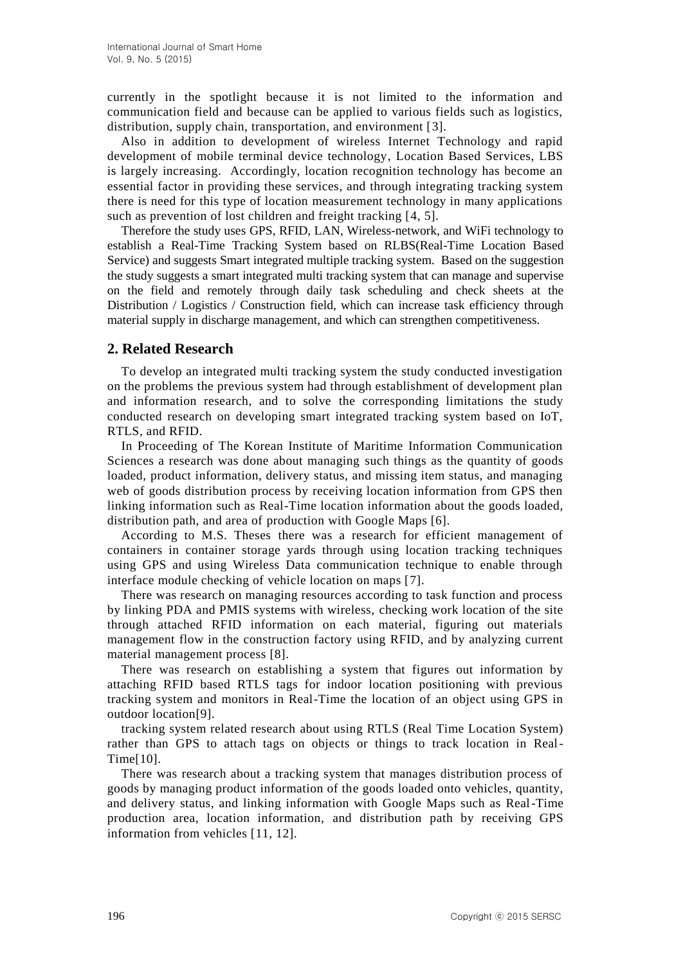currently in the spotlight because it is not limited to the information and communication field and because can be applied to various fields such as logistics, distribution, supply chain, transportation, and environment [3].

Also in addition to development of wireless Internet Technology and rapid development of mobile terminal device technology, Location Based Services, LBS is largely increasing. Accordingly, location recognition technology has become an essential factor in providing these services, and through integrating tracking system there is need for this type of location measurement technology in many applications such as prevention of lost children and freight tracking [4, 5].

Therefore the study uses GPS, RFID, LAN, Wireless-network, and WiFi technology to establish a Real-Time Tracking System based on RLBS(Real-Time Location Based Service) and suggests Smart integrated multiple tracking system. Based on the suggestion the study suggests a smart integrated multi tracking system that can manage and supervise on the field and remotely through daily task scheduling and check sheets at the Distribution / Logistics / Construction field, which can increase task efficiency through material supply in discharge management, and which can strengthen competitiveness.

# **2. Related Research**

To develop an integrated multi tracking system the study conducted investigation on the problems the previous system had through establishment of development plan and information research, and to solve the corresponding limitations the study conducted research on developing smart integrated tracking system based on IoT, RTLS, and RFID.

In Proceeding of The Korean Institute of Maritime Information Communication Sciences a research was done about managing such things as the quantity of goods loaded, product information, delivery status, and missing item status, and managing web of goods distribution process by receiving location information from GPS then linking information such as Real-Time location information about the goods loaded, distribution path, and area of production with Google Maps [6].

According to M.S. Theses there was a research for efficient management of containers in container storage yards through using location tracking techniques using GPS and using Wireless Data communication technique to enable through interface module checking of vehicle location on maps [7].

There was research on managing resources according to task function and process by linking PDA and PMIS systems with wireless, checking work location of the site through attached RFID information on each material, figuring out materials management flow in the construction factory using RFID, and by analyzing current material management process [8].

There was research on establishing a system that figures out information by attaching RFID based RTLS tags for indoor location positioning with previous tracking system and monitors in Real-Time the location of an object using GPS in outdoor location[9].

tracking system related research about using RTLS (Real Time Location System) rather than GPS to attach tags on objects or things to track location in Real-Time[10].

There was research about a tracking system that manages distribution process of goods by managing product information of the goods loaded onto vehicles, quantity, and delivery status, and linking information with Google Maps such as Real-Time production area, location information, and distribution path by receiving GPS information from vehicles [11, 12].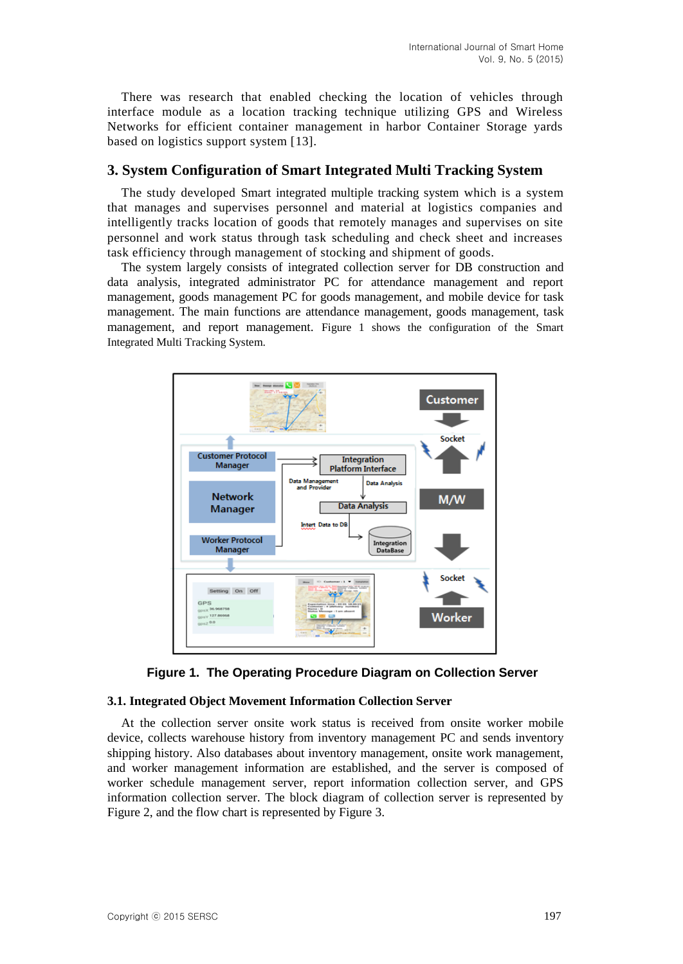There was research that enabled checking the location of vehicles through interface module as a location tracking technique utilizing GPS and Wireless Networks for efficient container management in harbor Container Storage yards based on logistics support system [13].

## **3. System Configuration of Smart Integrated Multi Tracking System**

The study developed Smart integrated multiple tracking system which is a system that manages and supervises personnel and material at logistics companies and intelligently tracks location of goods that remotely manages and supervises on site personnel and work status through task scheduling and check sheet and increases task efficiency through management of stocking and shipment of goods.

The system largely consists of integrated collection server for DB construction and data analysis, integrated administrator PC for attendance management and report management, goods management PC for goods management, and mobile device for task management. The main functions are attendance management, goods management, task management, and report management. Figure 1 shows the configuration of the Smart Integrated Multi Tracking System.





### **3.1. Integrated Object Movement Information Collection Server**

At the collection server onsite work status is received from onsite worker mobile device, collects warehouse history from inventory management PC and sends inventory shipping history. Also databases about inventory management, onsite work management, and worker management information are established, and the server is composed of worker schedule management server, report information collection server, and GPS information collection server. The block diagram of collection server is represented by Figure 2, and the flow chart is represented by Figure 3.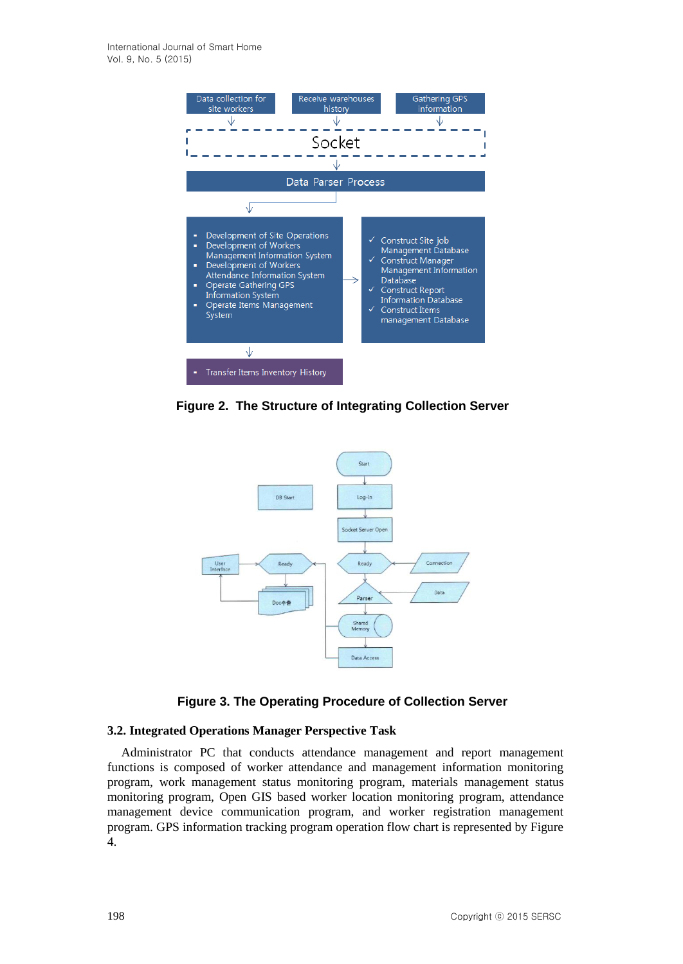

**Figure 2. The Structure of Integrating Collection Server**



## **Figure 3. The Operating Procedure of Collection Server**

### **3.2. Integrated Operations Manager Perspective Task**

Administrator PC that conducts attendance management and report management functions is composed of worker attendance and management information monitoring program, work management status monitoring program, materials management status monitoring program, Open GIS based worker location monitoring program, attendance management device communication program, and worker registration management program. GPS information tracking program operation flow chart is represented by Figure 4.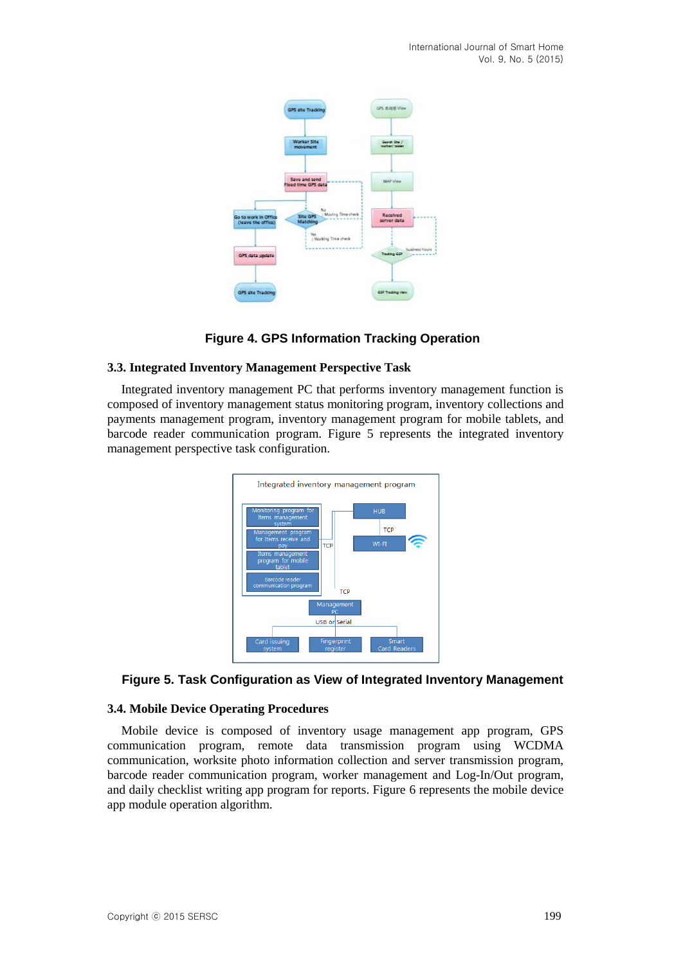

# **Figure 4. GPS Information Tracking Operation**

## **3.3. Integrated Inventory Management Perspective Task**

Integrated inventory management PC that performs inventory management function is composed of inventory management status monitoring program, inventory collections and payments management program, inventory management program for mobile tablets, and barcode reader communication program. Figure 5 represents the integrated inventory management perspective task configuration.



## **Figure 5. Task Configuration as View of Integrated Inventory Management**

### **3.4. Mobile Device Operating Procedures**

Mobile device is composed of inventory usage management app program, GPS communication program, remote data transmission program using WCDMA communication, worksite photo information collection and server transmission program, barcode reader communication program, worker management and Log-In/Out program, and daily checklist writing app program for reports. Figure 6 represents the mobile device app module operation algorithm.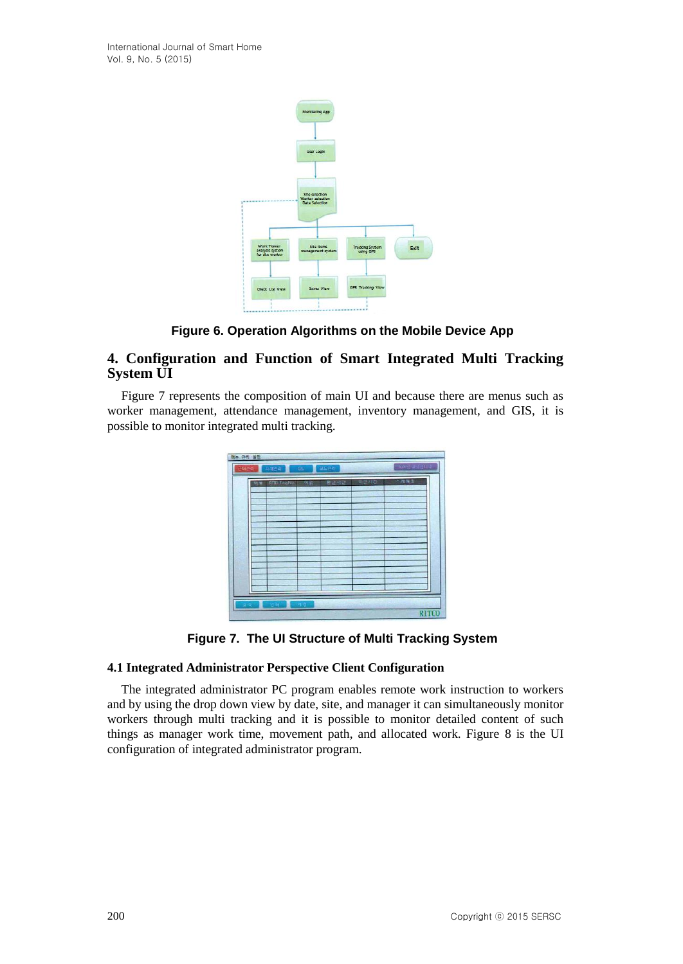

**Figure 6. Operation Algorithms on the Mobile Device App** 

# **4. Configuration and Function of Smart Integrated Multi Tracking System UI**

Figure 7 represents the composition of main UI and because there are menus such as worker management, attendance management, inventory management, and GIS, it is possible to monitor integrated multi tracking.



**Figure 7. The UI Structure of Multi Tracking System**

## **4.1 Integrated Administrator Perspective Client Configuration**

The integrated administrator PC program enables remote work instruction to workers and by using the drop down view by date, site, and manager it can simultaneously monitor workers through multi tracking and it is possible to monitor detailed content of such things as manager work time, movement path, and allocated work. Figure 8 is the UI configuration of integrated administrator program.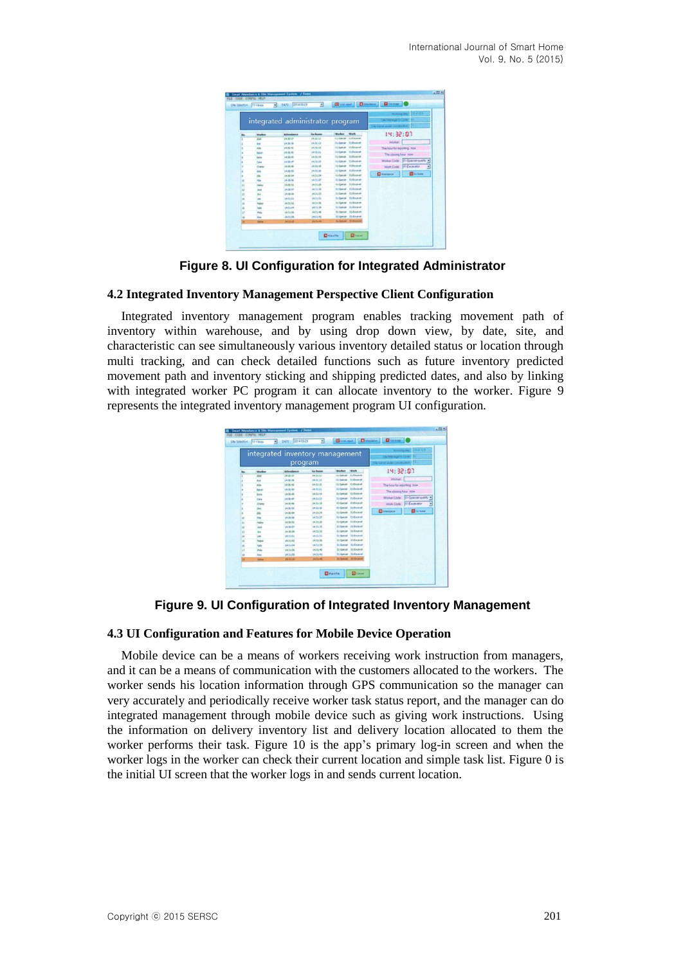|                |              | integrated administrator program |                 |               |                                |                              | Woming deal   20140 029<br>Cay Mattacaur's Crista<br>Die kanie seder von deutsch- (1) |  |  |
|----------------|--------------|----------------------------------|-----------------|---------------|--------------------------------|------------------------------|---------------------------------------------------------------------------------------|--|--|
|                | Worker       | <b>Attendance</b>                | <b>Ge boost</b> | <b>Market</b> | <b>Work</b>                    | 19:32:07                     |                                                                                       |  |  |
|                | AM           | 14,32,27                         | 29.25.52        | <b>SUMMER</b> | <b>Sydney</b>                  |                              |                                                                                       |  |  |
|                | Act of       | 14:30:39                         | 16:31:13        |               | <b>Submuk Subcavet</b>         | Wolker                       |                                                                                       |  |  |
|                | Ada          | 14.35-42                         | 14.70.15        |               | <b>ED Grecial - ED Encevel</b> | The hour for reporting Inder |                                                                                       |  |  |
|                | two          | 18.30.45                         | 14.71.21        |               | <b>IS-formal El-Entered</b>    | The closing hour inter       |                                                                                       |  |  |
|                | twee         | 14:30:45                         | 14.71.19        |               | <b>EL-Special EL-Excellent</b> |                              |                                                                                       |  |  |
|                | Catal        | 14.35.47                         | 1631-23         |               | <b>Sidense: Eldwaren</b>       |                              | Worker Code . (01-Species-quality 14)                                                 |  |  |
|                | Charge       | 14, 35, 49                       | 04/23/28        |               | <b>ISSand Eldstand</b>         |                              | Wink Code 01 Excellent<br>킈                                                           |  |  |
|                | Dick         | 14.30.53                         | 19.31.15        |               | <b>Enforced: Enforced</b>      |                              |                                                                                       |  |  |
|                | <b>City</b>  | 14/30/58                         | 14/31/24        |               | <b>Schend</b> St-Escaust       | <b>El tierdace</b>           | <b>Blacker</b>                                                                        |  |  |
| u              | <b>No</b>    | 14.35.56                         | 14.71.27        |               | <b>Silvered St Exceld</b>      |                              |                                                                                       |  |  |
| 11             | <b>Hale</b>  | 14:30:51                         | 14/11/29        |               | Et-Special: 61-Excelent        |                              |                                                                                       |  |  |
| $\mathfrak{u}$ | <b>Jack</b>  | 14.30.57                         | 14.71.09        |               | <b>IS-force El-Externt</b>     |                              |                                                                                       |  |  |
| u              | m            | 14:30:58                         | 14,71.53        |               | <b>Eulowood</b> Stiftsman      |                              |                                                                                       |  |  |
| 14             | im           | 062001                           | 14,70.51        |               | <b>Informal</b> Illifaceut     |                              |                                                                                       |  |  |
| zb             | <b>Nodus</b> | 14,71,82                         | 14.20.95        |               | <b>It-Security St Encount</b>  |                              |                                                                                       |  |  |
| <b>M</b>       | hada         | 14,5104                          | 14.71.39        |               | <b>Informé Indicate</b>        |                              |                                                                                       |  |  |
| w              | <b>Price</b> | 142105                           | 14.31.40        |               | It-layed It-Crownt             |                              |                                                                                       |  |  |
| u              | <b>Sec</b>   | 04.24.08                         | 14, 11, 42      |               | 11-Special: 71-December        |                              |                                                                                       |  |  |
| ٠              | <b>Salva</b> | 14,7612                          | 3631/66         |               | <b>Infante</b> Stibour         |                              |                                                                                       |  |  |

**Figure 8. UI Configuration for Integrated Administrator**

### **4.2 Integrated Inventory Management Perspective Client Configuration**

Integrated inventory management program enables tracking movement path of inventory within warehouse, and by using drop down view, by date, site, and characteristic can see simultaneously various inventory detailed status or location through multi tracking, and can check detailed functions such as future inventory predicted movement path and inventory sticking and shipping predicted dates, and also by linking with integrated worker PC program it can allocate inventory to the worker. Figure 9 represents the integrated inventory management program UI configuration.

|           |               | integrated inventory management<br>program | Working day: 120 4111<br>Cap Mahanavar's Coutur<br><b>Say kame under construction</b> |               |                                |                              |                                    |
|-----------|---------------|--------------------------------------------|---------------------------------------------------------------------------------------|---------------|--------------------------------|------------------------------|------------------------------------|
| m         | <b>Minda</b>  | Attendance                                 | <b>So home</b>                                                                        | <b>Worker</b> | <b>Work</b>                    | 19:32:07                     |                                    |
|           | <b>Ala</b>    | 18,3137                                    | 19,22.53                                                                              |               | <b>Schmar Schnack</b>          |                              |                                    |
|           | Act of        | 14:30:39                                   | 19.21.12                                                                              |               | <b>St-Special St-Excellent</b> | <b>Worker</b>                |                                    |
|           | Ada           | 14.35.42                                   | 14.70.05                                                                              |               | Stonie Stound                  | The hour for reporting : now |                                    |
|           | <b>Sand</b>   | $(4.30 - 4)$                               | 14.70.21                                                                              |               | <b>St-Senate ELEvident</b>     | The classis hour: now        |                                    |
|           | <b>Toris</b>  | 14.35.45                                   | 14:31:19                                                                              |               | <b>Sylance</b> St-boxet        |                              |                                    |
|           | Cars          | 14.30.47                                   | 14.71:23                                                                              |               | <b>It-Senat: Es-Excelent</b>   |                              | Worker Code   R1-Special-quality = |
|           | <b>Chang</b>  | 14.35.49                                   | 14.51-16                                                                              |               | ISSantal: ESExtered            |                              | Work Code 201 Excellentor<br>×.    |
|           | <b>Dift</b>   | 14.30.53                                   | 19.71.18                                                                              |               | In factor - El discount        |                              | <b>Colore</b>                      |
|           | <b>Dh</b>     | 14:30:54                                   | 14.31.24                                                                              |               | Es-Sancel- El-Encavet          | <b>El</b> Atenderon          |                                    |
| ٠         | <b>Film</b>   | 14,35.56                                   | 14.71.27                                                                              |               | <b>Stanish Stillcover</b>      |                              |                                    |
| <b>is</b> | <b>Hallen</b> | 14,30-51                                   | 1470.29                                                                               |               | <b>Strippian: Stributed</b>    |                              |                                    |
| 12        | <b>Jack</b>   | 14:30:57                                   | 143125                                                                                |               | <b>ELONGA DI BARAR</b>         |                              |                                    |
| s         | her.          | 18.30:59                                   | 14,21:12                                                                              |               | ELONIA 21-Excelet              |                              |                                    |
| 16        | <b>Sept</b>   | 14,7101                                    | 14,70.51                                                                              |               | <b>Different Stiffwarent</b>   |                              |                                    |
| m         | <b>Hutu</b>   | 14.51.02                                   | 14,72.36                                                                              |               | <b>IS Special ES Chokut</b>    |                              |                                    |
| ×         | w             | 14,5104                                    | 14.71.79                                                                              |               | <b>It-force: Et-focaust</b>    |                              |                                    |
| o         | <b>Photo</b>  | 14:31:06                                   | 14.71.40                                                                              |               | <b>Il-lantal</b> El-Cromet     |                              |                                    |
| ×         | <b>Tata</b>   | 14,31.08                                   | 14,7142                                                                               |               | <b>SS Genius</b> St Excellent  |                              |                                    |
| ×         | <b>Salton</b> | 14,31.10                                   | 14.31.48                                                                              |               | Th Grecial 41 Cells af         |                              |                                    |

**Figure 9. UI Configuration of Integrated Inventory Management**

# **4.3 UI Configuration and Features for Mobile Device Operation**

Mobile device can be a means of workers receiving work instruction from managers, and it can be a means of communication with the customers allocated to the workers. The worker sends his location information through GPS communication so the manager can very accurately and periodically receive worker task status report, and the manager can do integrated management through mobile device such as giving work instructions. Using the information on delivery inventory list and delivery location allocated to them the worker performs their task. Figure 10 is the app's primary log-in screen and when the worker logs in the worker can check their current location and simple task list. Figure 0 is the initial UI screen that the worker logs in and sends current location.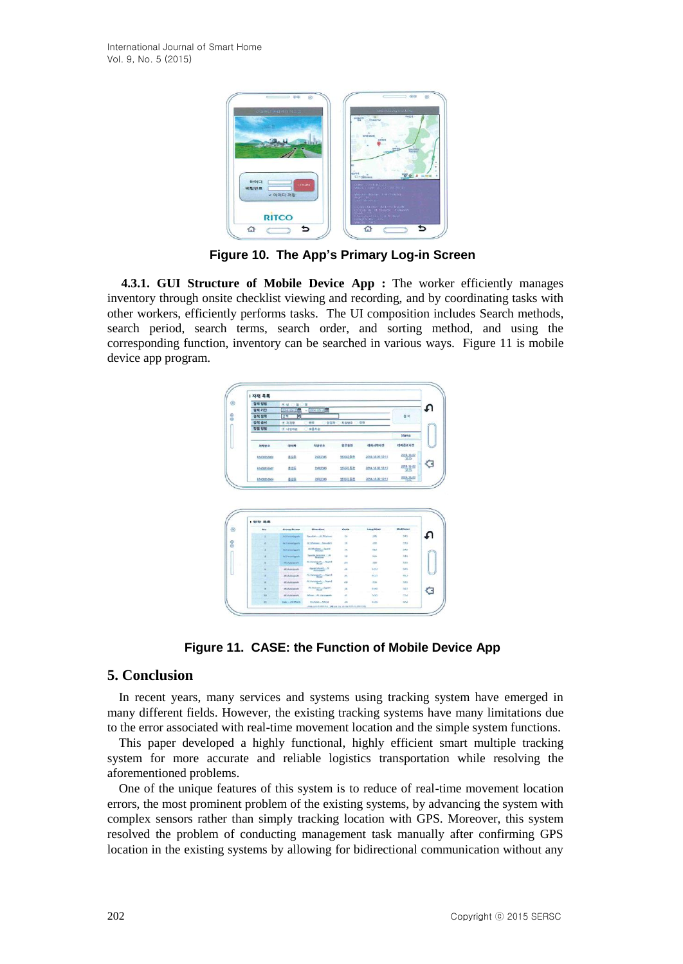

**Figure 10. The App's Primary Log-in Screen**

**4.3.1. GUI Structure of Mobile Device App :** The worker efficiently manages inventory through onsite checklist viewing and recording, and by coordinating tasks with other workers, efficiently performs tasks. The UI composition includes Search methods, search period, search terms, search order, and sorting method, and using the corresponding function, inventory can be searched in various ways. Figure 11 is mobile device app program.



**Figure 11. CASE: the Function of Mobile Device App**

# **5. Conclusion**

In recent years, many services and systems using tracking system have emerged in many different fields. However, the existing tracking systems have many limitations due to the error associated with real-time movement location and the simple system functions.

This paper developed a highly functional, highly efficient smart multiple tracking system for more accurate and reliable logistics transportation while resolving the aforementioned problems.

One of the unique features of this system is to reduce of real-time movement location errors, the most prominent problem of the existing systems, by advancing the system with complex sensors rather than simply tracking location with GPS. Moreover, this system resolved the problem of conducting management task manually after confirming GPS location in the existing systems by allowing for bidirectional communication without any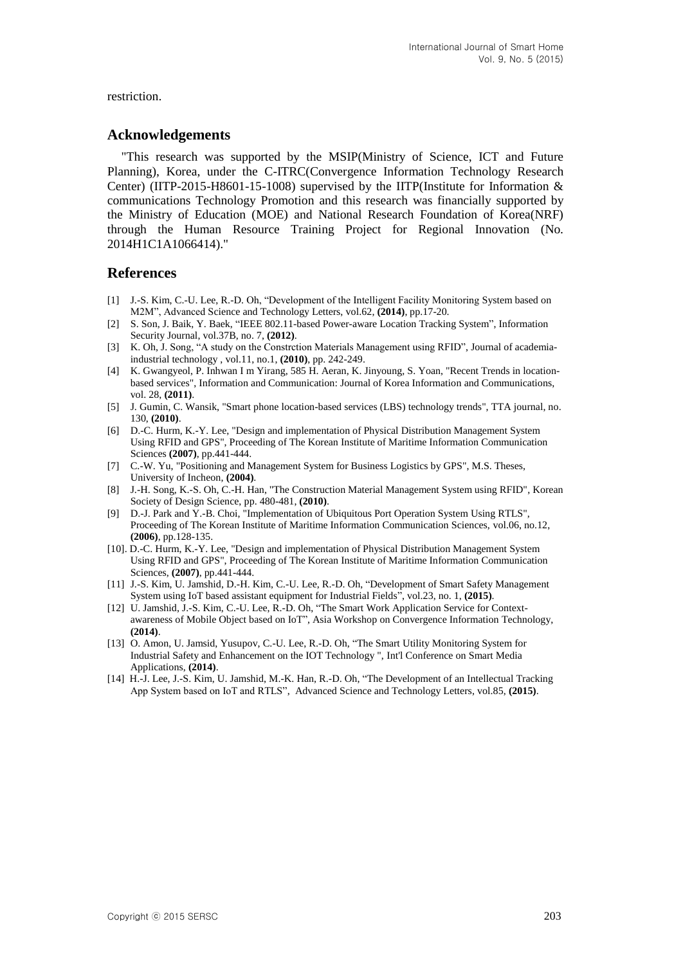#### restriction.

#### **Acknowledgements**

"This research was supported by the MSIP(Ministry of Science, ICT and Future Planning), Korea, under the C-ITRC(Convergence Information Technology Research Center) (IITP-2015-H8601-15-1008) supervised by the IITP(Institute for Information  $\&$ communications Technology Promotion and this research was financially supported by the Ministry of Education (MOE) and National Research Foundation of Korea(NRF) through the Human Resource Training Project for Regional Innovation (No. 2014H1C1A1066414)."

### **References**

- [1] J.-S. Kim, C.-U. Lee, R.-D. Oh, "Development of the Intelligent Facility Monitoring System based on M2M", Advanced Science and Technology Letters, vol.62, **(2014)**, pp.17-20.
- [2] S. Son, J. Baik, Y. Baek, "IEEE 802.11-based Power-aware Location Tracking System", Information Security Journal, vol.37B, no. 7, **(2012)**.
- [3] K. Oh, J. Song, "A study on the Constrction Materials Management using RFID", Journal of academiaindustrial technology , vol.11, no.1, **(2010)**, pp. 242-249.
- [4] K. Gwangyeol, P. Inhwan I m Yirang, 585 H. Aeran, K. Jinyoung, S. Yoan, "Recent Trends in locationbased services", Information and Communication: Journal of Korea Information and Communications, vol. 28, **(2011)**.
- [5] J. Gumin, C. Wansik, "Smart phone location-based services (LBS) technology trends", TTA journal, no. 130, **(2010)**.
- [6] D.-C. Hurm, K.-Y. Lee, "Design and implementation of Physical Distribution Management System Using RFID and GPS", Proceeding of The Korean Institute of Maritime Information Communication Sciences **(2007)**, pp.441-444.
- [7] C.-W. Yu, "Positioning and Management System for Business Logistics by GPS", M.S. Theses, University of Incheon, **(2004)**.
- [8] J.-H. Song, K.-S. Oh, C.-H. Han, "The Construction Material Management System using RFID", Korean Society of Design Science, pp. 480-481, **(2010)**.
- [9] D.-J. Park and Y.-B. Choi, "Implementation of Ubiquitous Port Operation System Using RTLS", Proceeding of The Korean Institute of Maritime Information Communication Sciences, vol.06, no.12, **(2006)**, pp.128-135.
- [10]. D.-C. Hurm, K.-Y. Lee, "Design and implementation of Physical Distribution Management System Using RFID and GPS", Proceeding of The Korean Institute of Maritime Information Communication Sciences, **(2007)**, pp.441-444.
- [11] J.-S. Kim, U. Jamshid, D.-H. Kim, C.-U. Lee, R.-D. Oh, "Development of Smart Safety Management System using IoT based assistant equipment for Industrial Fields", vol.23, no. 1, **(2015)**.
- [12] U. Jamshid, J.-S. Kim, C.-U. Lee, R.-D. Oh, "The Smart Work Application Service for Contextawareness of Mobile Object based on IoT", Asia Workshop on Convergence Information Technology, **(2014)**.
- [13] O. Amon, U. Jamsid, Yusupov, C.-U. Lee, R.-D. Oh, "The Smart Utility Monitoring System for Industrial Safety and Enhancement on the IOT Technology ", Int'l Conference on Smart Media Applications, **(2014)**.
- [14] H.-J. Lee, J.-S. Kim, U. Jamshid, M.-K. Han, R.-D. Oh, "The Development of an Intellectual Tracking App System based on IoT and RTLS", Advanced Science and Technology Letters, vol.85, **(2015)**.